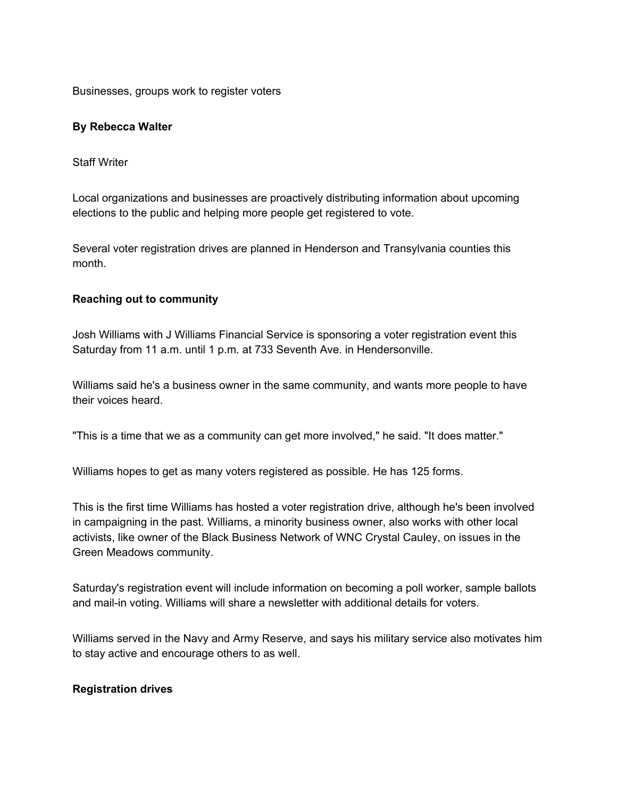Businesses, groups work to register voters

# **By Rebecca Walter**

Staff Writer

Local organizations and businesses are proactively distributing information about upcoming elections to the public and helping more people get registered to vote.

Several voter registration drives are planned in Henderson and Transylvania counties this month.

# **Reaching out to community**

Josh Williams with J Williams Financial Service is sponsoring a voter registration event this Saturday from 11 a.m. until 1 p.m. at 733 Seventh Ave. in Hendersonville.

Williams said he's a business owner in the same community, and wants more people to have their voices heard.

"This is a time that we as a community can get more involved," he said. "It does matter."

Williams hopes to get as many voters registered as possible. He has 125 forms.

This is the first time Williams has hosted a voter registration drive, although he's been involved in campaigning in the past. Williams, a minority business owner, also works with other local activists, like owner of the Black Business Network of WNC Crystal Cauley, on issues in the Green Meadows community.

Saturday's registration event will include information on becoming a poll worker, sample ballots and mail-in voting. Williams will share a newsletter with additional details for voters.

Williams served in the Navy and Army Reserve, and says his military service also motivates him to stay active and encourage others to as well.

# **Registration drives**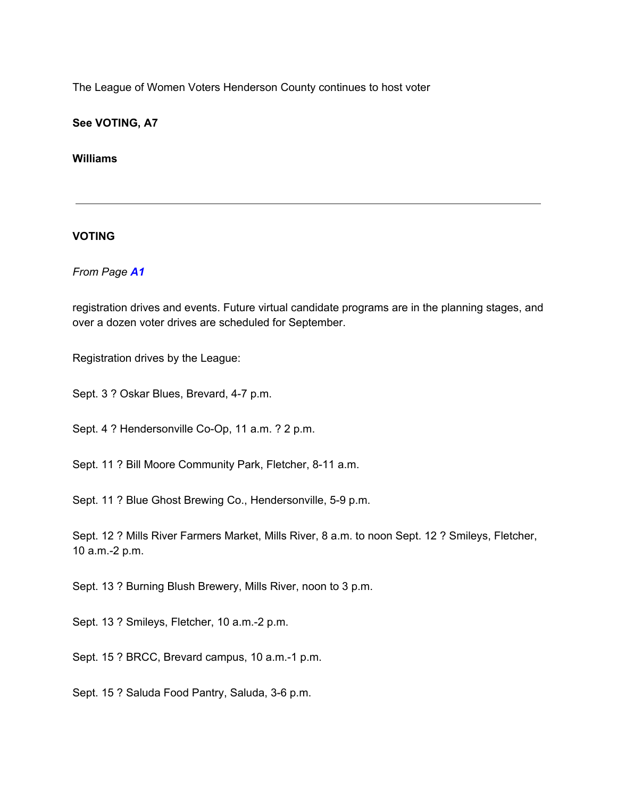The League of Women Voters Henderson County continues to host voter

**See VOTING, A7**

**Williams**

# **VOTING**

*From Page A1*

registration drives and events. Future virtual candidate programs are in the planning stages, and over a dozen voter drives are scheduled for September.

Registration drives by the League:

Sept. 3 ? Oskar Blues, Brevard, 4-7 p.m.

Sept. 4 ? Hendersonville Co-Op, 11 a.m. ? 2 p.m.

Sept. 11 ? Bill Moore Community Park, Fletcher, 8-11 a.m.

Sept. 11 ? Blue Ghost Brewing Co., Hendersonville, 5-9 p.m.

Sept. 12 ? Mills River Farmers Market, Mills River, 8 a.m. to noon Sept. 12 ? Smileys, Fletcher, 10 a.m.-2 p.m.

Sept. 13 ? Burning Blush Brewery, Mills River, noon to 3 p.m.

Sept. 13 ? Smileys, Fletcher, 10 a.m.-2 p.m.

Sept. 15 ? BRCC, Brevard campus, 10 a.m.-1 p.m.

Sept. 15 ? Saluda Food Pantry, Saluda, 3-6 p.m.